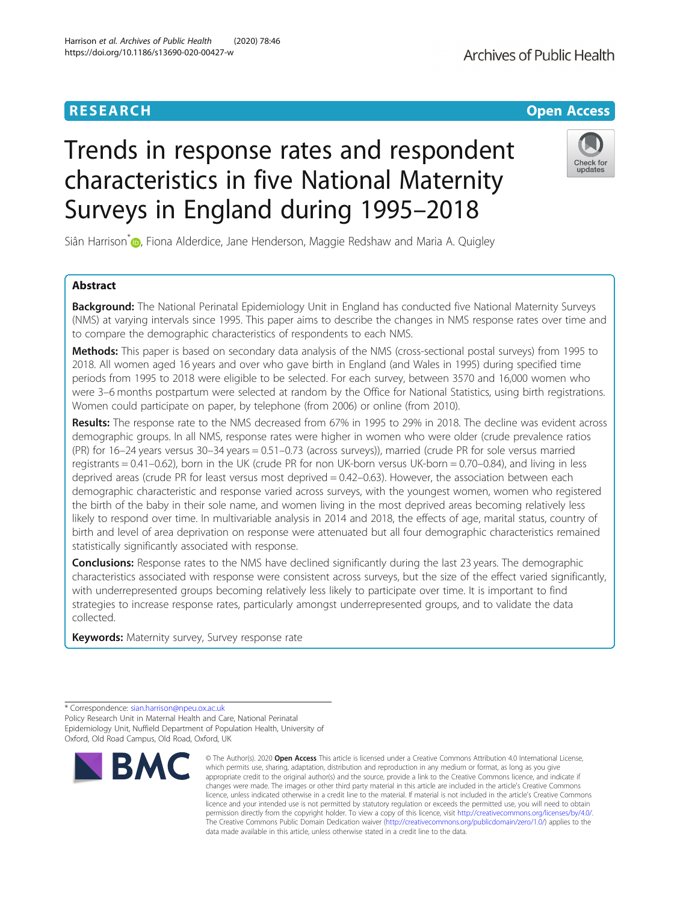# **RESEARCH CHE Open Access**

# Trends in response rates and respondent characteristics in five National Maternity Surveys in England during 1995–2018

Siân Harrison<sup>[\\*](http://orcid.org/0000-0002-4186-4169)</sup> <sub>(D</sub>, Fiona Alderdice, Jane Henderson, Maggie Redshaw and Maria A. Quigley

# Abstract

Background: The National Perinatal Epidemiology Unit in England has conducted five National Maternity Surveys (NMS) at varying intervals since 1995. This paper aims to describe the changes in NMS response rates over time and to compare the demographic characteristics of respondents to each NMS.

Methods: This paper is based on secondary data analysis of the NMS (cross-sectional postal surveys) from 1995 to 2018. All women aged 16 years and over who gave birth in England (and Wales in 1995) during specified time periods from 1995 to 2018 were eligible to be selected. For each survey, between 3570 and 16,000 women who were 3–6 months postpartum were selected at random by the Office for National Statistics, using birth registrations. Women could participate on paper, by telephone (from 2006) or online (from 2010).

Results: The response rate to the NMS decreased from 67% in 1995 to 29% in 2018. The decline was evident across demographic groups. In all NMS, response rates were higher in women who were older (crude prevalence ratios (PR) for 16–24 years versus 30–34 years = 0.51–0.73 (across surveys)), married (crude PR for sole versus married registrants = 0.41–0.62), born in the UK (crude PR for non UK-born versus UK-born = 0.70–0.84), and living in less deprived areas (crude PR for least versus most deprived = 0.42–0.63). However, the association between each demographic characteristic and response varied across surveys, with the youngest women, women who registered the birth of the baby in their sole name, and women living in the most deprived areas becoming relatively less likely to respond over time. In multivariable analysis in 2014 and 2018, the effects of age, marital status, country of birth and level of area deprivation on response were attenuated but all four demographic characteristics remained statistically significantly associated with response.

**Conclusions:** Response rates to the NMS have declined significantly during the last 23 years. The demographic characteristics associated with response were consistent across surveys, but the size of the effect varied significantly, with underrepresented groups becoming relatively less likely to participate over time. It is important to find strategies to increase response rates, particularly amongst underrepresented groups, and to validate the data collected.

Keywords: Maternity survey, Survey response rate



<sup>©</sup> The Author(s), 2020 **Open Access** This article is licensed under a Creative Commons Attribution 4.0 International License, which permits use, sharing, adaptation, distribution and reproduction in any medium or format, as long as you give appropriate credit to the original author(s) and the source, provide a link to the Creative Commons licence, and indicate if changes were made. The images or other third party material in this article are included in the article's Creative Commons licence, unless indicated otherwise in a credit line to the material. If material is not included in the article's Creative Commons licence and your intended use is not permitted by statutory regulation or exceeds the permitted use, you will need to obtain permission directly from the copyright holder. To view a copy of this licence, visit [http://creativecommons.org/licenses/by/4.0/.](http://creativecommons.org/licenses/by/4.0/) The Creative Commons Public Domain Dedication waiver [\(http://creativecommons.org/publicdomain/zero/1.0/](http://creativecommons.org/publicdomain/zero/1.0/)) applies to the data made available in this article, unless otherwise stated in a credit line to the data.



Check for undates



<sup>\*</sup> Correspondence: [sian.harrison@npeu.ox.ac.uk](mailto:sian.harrison@npeu.ox.ac.uk) Policy Research Unit in Maternal Health and Care, National Perinatal Epidemiology Unit, Nuffield Department of Population Health, University of Oxford, Old Road Campus, Old Road, Oxford, UK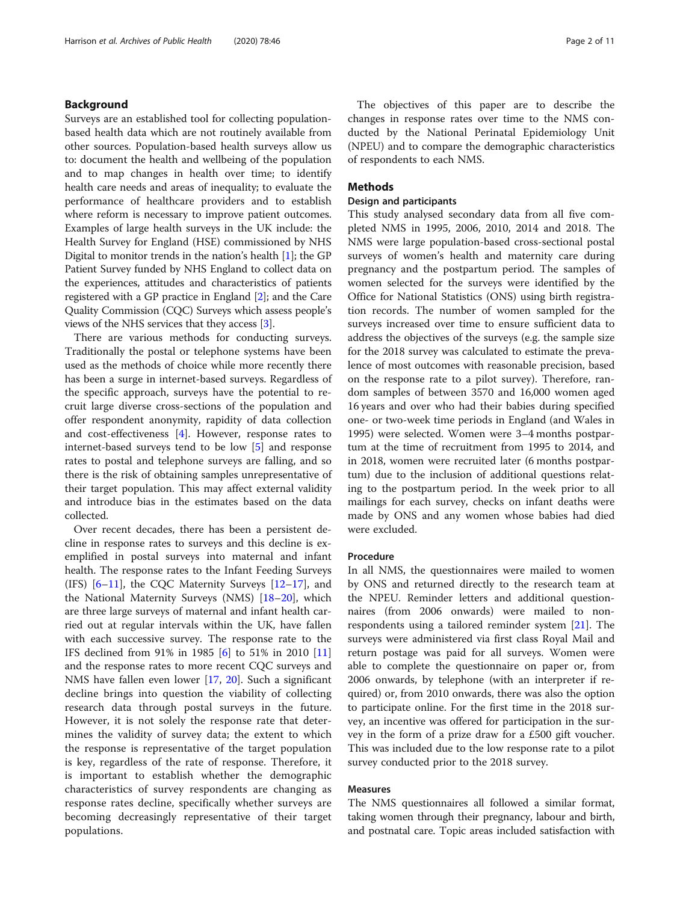# Background

Surveys are an established tool for collecting populationbased health data which are not routinely available from other sources. Population-based health surveys allow us to: document the health and wellbeing of the population and to map changes in health over time; to identify health care needs and areas of inequality; to evaluate the performance of healthcare providers and to establish where reform is necessary to improve patient outcomes. Examples of large health surveys in the UK include: the Health Survey for England (HSE) commissioned by NHS Digital to monitor trends in the nation's health [[1\]](#page-9-0); the GP Patient Survey funded by NHS England to collect data on the experiences, attitudes and characteristics of patients registered with a GP practice in England [[2](#page-9-0)]; and the Care Quality Commission (CQC) Surveys which assess people's views of the NHS services that they access [[3\]](#page-9-0).

There are various methods for conducting surveys. Traditionally the postal or telephone systems have been used as the methods of choice while more recently there has been a surge in internet-based surveys. Regardless of the specific approach, surveys have the potential to recruit large diverse cross-sections of the population and offer respondent anonymity, rapidity of data collection and cost-effectiveness [[4\]](#page-9-0). However, response rates to internet-based surveys tend to be low [\[5](#page-9-0)] and response rates to postal and telephone surveys are falling, and so there is the risk of obtaining samples unrepresentative of their target population. This may affect external validity and introduce bias in the estimates based on the data collected.

Over recent decades, there has been a persistent decline in response rates to surveys and this decline is exemplified in postal surveys into maternal and infant health. The response rates to the Infant Feeding Surveys (IFS)  $[6-11]$  $[6-11]$  $[6-11]$  $[6-11]$ , the CQC Maternity Surveys  $[12-17]$  $[12-17]$  $[12-17]$ , and the National Maternity Surveys (NMS) [[18](#page-10-0)–[20](#page-10-0)], which are three large surveys of maternal and infant health carried out at regular intervals within the UK, have fallen with each successive survey. The response rate to the IFS declined from 91% in 1985 [[6](#page-9-0)] to 51% in 2010 [[11](#page-9-0)] and the response rates to more recent CQC surveys and NMS have fallen even lower [\[17](#page-10-0), [20\]](#page-10-0). Such a significant decline brings into question the viability of collecting research data through postal surveys in the future. However, it is not solely the response rate that determines the validity of survey data; the extent to which the response is representative of the target population is key, regardless of the rate of response. Therefore, it is important to establish whether the demographic characteristics of survey respondents are changing as response rates decline, specifically whether surveys are becoming decreasingly representative of their target populations.

The objectives of this paper are to describe the changes in response rates over time to the NMS conducted by the National Perinatal Epidemiology Unit (NPEU) and to compare the demographic characteristics of respondents to each NMS.

# **Methods**

# Design and participants

This study analysed secondary data from all five completed NMS in 1995, 2006, 2010, 2014 and 2018. The NMS were large population-based cross-sectional postal surveys of women's health and maternity care during pregnancy and the postpartum period. The samples of women selected for the surveys were identified by the Office for National Statistics (ONS) using birth registration records. The number of women sampled for the surveys increased over time to ensure sufficient data to address the objectives of the surveys (e.g. the sample size for the 2018 survey was calculated to estimate the prevalence of most outcomes with reasonable precision, based on the response rate to a pilot survey). Therefore, random samples of between 3570 and 16,000 women aged 16 years and over who had their babies during specified one- or two-week time periods in England (and Wales in 1995) were selected. Women were 3–4 months postpartum at the time of recruitment from 1995 to 2014, and in 2018, women were recruited later (6 months postpartum) due to the inclusion of additional questions relating to the postpartum period. In the week prior to all mailings for each survey, checks on infant deaths were made by ONS and any women whose babies had died were excluded.

## Procedure

In all NMS, the questionnaires were mailed to women by ONS and returned directly to the research team at the NPEU. Reminder letters and additional questionnaires (from 2006 onwards) were mailed to nonrespondents using a tailored reminder system [\[21](#page-10-0)]. The surveys were administered via first class Royal Mail and return postage was paid for all surveys. Women were able to complete the questionnaire on paper or, from 2006 onwards, by telephone (with an interpreter if required) or, from 2010 onwards, there was also the option to participate online. For the first time in the 2018 survey, an incentive was offered for participation in the survey in the form of a prize draw for a £500 gift voucher. This was included due to the low response rate to a pilot survey conducted prior to the 2018 survey.

# Measures

The NMS questionnaires all followed a similar format, taking women through their pregnancy, labour and birth, and postnatal care. Topic areas included satisfaction with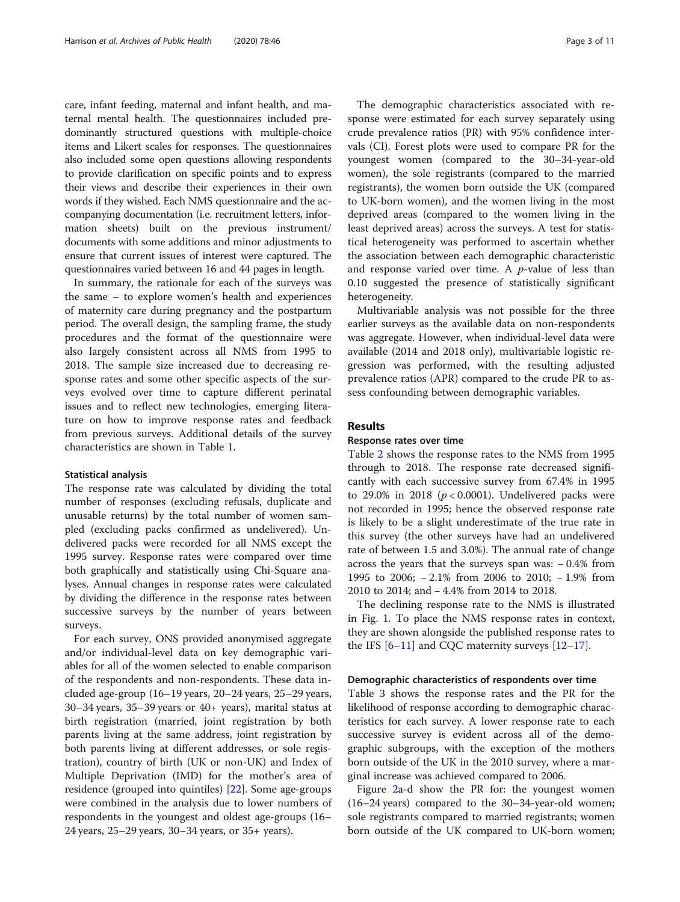care, infant feeding, maternal and infant health, and maternal mental health. The questionnaires included predominantly structured questions with multiple-choice items and Likert scales for responses. The questionnaires also included some open questions allowing respondents to provide clarification on specific points and to express their views and describe their experiences in their own words if they wished. Each NMS questionnaire and the accompanying documentation (i.e. recruitment letters, information sheets) built on the previous instrument/ documents with some additions and minor adjustments to ensure that current issues of interest were captured. The questionnaires varied between 16 and 44 pages in length.

In summary, the rationale for each of the surveys was the same – to explore women's health and experiences of maternity care during pregnancy and the postpartum period. The overall design, the sampling frame, the study procedures and the format of the questionnaire were also largely consistent across all NMS from 1995 to 2018. The sample size increased due to decreasing response rates and some other specific aspects of the surveys evolved over time to capture different perinatal issues and to reflect new technologies, emerging literature on how to improve response rates and feedback from previous surveys. Additional details of the survey characteristics are shown in Table [1](#page-3-0).

#### Statistical analysis

The response rate was calculated by dividing the total number of responses (excluding refusals, duplicate and unusable returns) by the total number of women sampled (excluding packs confirmed as undelivered). Undelivered packs were recorded for all NMS except the 1995 survey. Response rates were compared over time both graphically and statistically using Chi-Square analyses. Annual changes in response rates were calculated by dividing the difference in the response rates between successive surveys by the number of years between surveys.

For each survey, ONS provided anonymised aggregate and/or individual-level data on key demographic variables for all of the women selected to enable comparison of the respondents and non-respondents. These data included age-group (16–19 years, 20–24 years, 25–29 years, 30–34 years, 35–39 years or 40+ years), marital status at birth registration (married, joint registration by both parents living at the same address, joint registration by both parents living at different addresses, or sole registration), country of birth (UK or non-UK) and Index of Multiple Deprivation (IMD) for the mother's area of residence (grouped into quintiles) [[22](#page-10-0)]. Some age-groups were combined in the analysis due to lower numbers of respondents in the youngest and oldest age-groups (16– 24 years, 25–29 years, 30–34 years, or 35+ years).

The demographic characteristics associated with response were estimated for each survey separately using crude prevalence ratios (PR) with 95% confidence intervals (CI). Forest plots were used to compare PR for the youngest women (compared to the 30–34-year-old women), the sole registrants (compared to the married registrants), the women born outside the UK (compared to UK-born women), and the women living in the most deprived areas (compared to the women living in the least deprived areas) across the surveys. A test for statistical heterogeneity was performed to ascertain whether the association between each demographic characteristic and response varied over time. A  $p$ -value of less than 0.10 suggested the presence of statistically significant heterogeneity.

Multivariable analysis was not possible for the three earlier surveys as the available data on non-respondents was aggregate. However, when individual-level data were available (2014 and 2018 only), multivariable logistic regression was performed, with the resulting adjusted prevalence ratios (APR) compared to the crude PR to assess confounding between demographic variables.

#### Results

### Response rates over time

Table [2](#page-4-0) shows the response rates to the NMS from 1995 through to 2018. The response rate decreased significantly with each successive survey from 67.4% in 1995 to 29.0% in 2018 ( $p < 0.0001$ ). Undelivered packs were not recorded in 1995; hence the observed response rate is likely to be a slight underestimate of the true rate in this survey (the other surveys have had an undelivered rate of between 1.5 and 3.0%). The annual rate of change across the years that the surveys span was: − 0.4% from 1995 to 2006; − 2.1% from 2006 to 2010; − 1.9% from 2010 to 2014; and − 4.4% from 2014 to 2018.

The declining response rate to the NMS is illustrated in Fig. [1](#page-4-0). To place the NMS response rates in context, they are shown alongside the published response rates to the IFS  $[6-11]$  $[6-11]$  $[6-11]$  and CQC maternity surveys  $[12-17]$  $[12-17]$  $[12-17]$  $[12-17]$ .

#### Demographic characteristics of respondents over time

Table [3](#page-5-0) shows the response rates and the PR for the likelihood of response according to demographic characteristics for each survey. A lower response rate to each successive survey is evident across all of the demographic subgroups, with the exception of the mothers born outside of the UK in the 2010 survey, where a marginal increase was achieved compared to 2006.

Figure [2a](#page-6-0)-d show the PR for: the youngest women (16–24 years) compared to the 30–34-year-old women; sole registrants compared to married registrants; women born outside of the UK compared to UK-born women;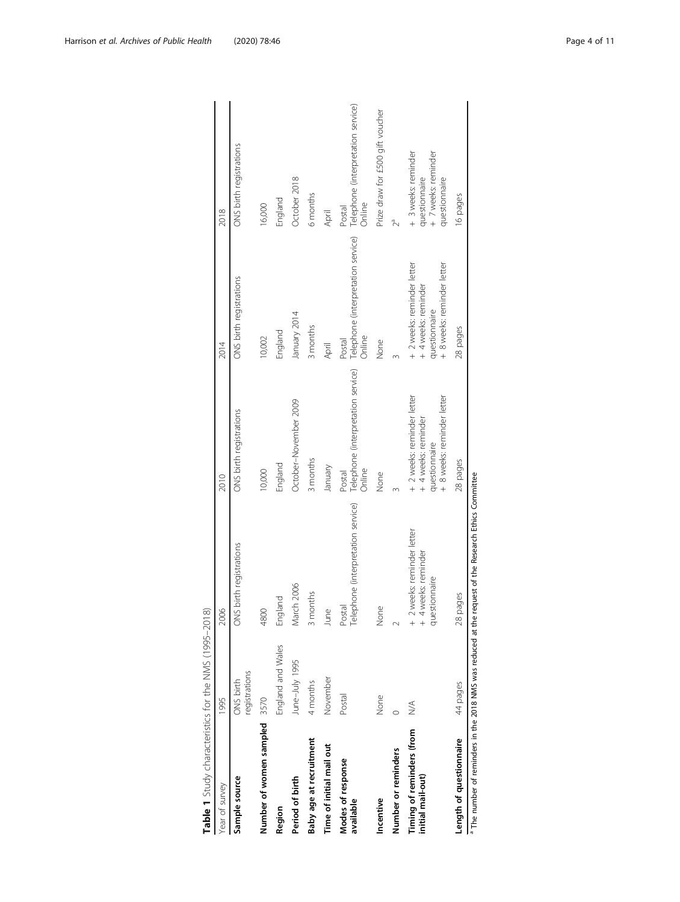<span id="page-3-0"></span>

| Table 1 Study characteristics for the NMS (1995-2018) |                                  |                                                                                                                  |                                                                                                  |                                                                                                  |                                                                              |
|-------------------------------------------------------|----------------------------------|------------------------------------------------------------------------------------------------------------------|--------------------------------------------------------------------------------------------------|--------------------------------------------------------------------------------------------------|------------------------------------------------------------------------------|
| Year of survey                                        | 1995                             | 2006                                                                                                             | 2010                                                                                             | 2014                                                                                             | 2018                                                                         |
| Sample source                                         | registrations<br>ONS birth       | ONS birth registrations                                                                                          | ONS birth registrations                                                                          | ONS birth registrations                                                                          | ONS birth registrations                                                      |
| Number of women sampled 3570                          |                                  | 4800                                                                                                             | 10,000                                                                                           | 10,002                                                                                           | 16,000                                                                       |
| Region                                                | England and Wales                | England                                                                                                          | England                                                                                          | England                                                                                          | England                                                                      |
| Period of birth                                       | June-July 1995                   | March 2006                                                                                                       | October-November 2009                                                                            | January 2014                                                                                     | October 2018                                                                 |
| Baby age at recruitment                               | 4 months                         | 3 months                                                                                                         | 3 months                                                                                         | 3 months                                                                                         | 6 months                                                                     |
| Time of initial mail out                              | November                         | June                                                                                                             | January                                                                                          | April                                                                                            | April                                                                        |
| Modes of response<br>available                        | Postal                           | Telephone (interpretation service)<br>Postal                                                                     | Telephone (interpretation service)<br>Online<br>Postal                                           | Telephone (interpretation service)<br>Online<br>Postal                                           | Telephone (interpretation service)<br>Online<br>Postal                       |
| Incentive                                             | None                             | None                                                                                                             | None                                                                                             | None                                                                                             | Prize draw for £500 gift voucher                                             |
| Number or reminders                                   |                                  |                                                                                                                  |                                                                                                  |                                                                                                  | Z                                                                            |
| Timing of reminders (from<br>initial mail-out)        | $\stackrel{\triangleleft}{\geq}$ | + 2 weeks: reminder letter<br>t weeks: reminder<br>questionnaire<br>$+$                                          | + 8 weeks: reminder letter<br>+ 2 weeks: reminder letter<br>+ 4 weeks: reminder<br>questionnaire | + 8 weeks: reminder letter<br>+ 2 weeks: reminder letter<br>+ 4 weeks: reminder<br>questionnaire | + 3 weeks: reminder<br>+ 7 weeks: reminder<br>questionnaire<br>questionnaire |
| Length of questionnaire                               | 44 pages                         | 28 pages                                                                                                         | 28 pages                                                                                         | 28 pages                                                                                         | 16 pages                                                                     |
|                                                       |                                  | <sup>a</sup> The number of reminders in the 2018 NMS was reduced at the request of the Research Ethics Committee |                                                                                                  |                                                                                                  |                                                                              |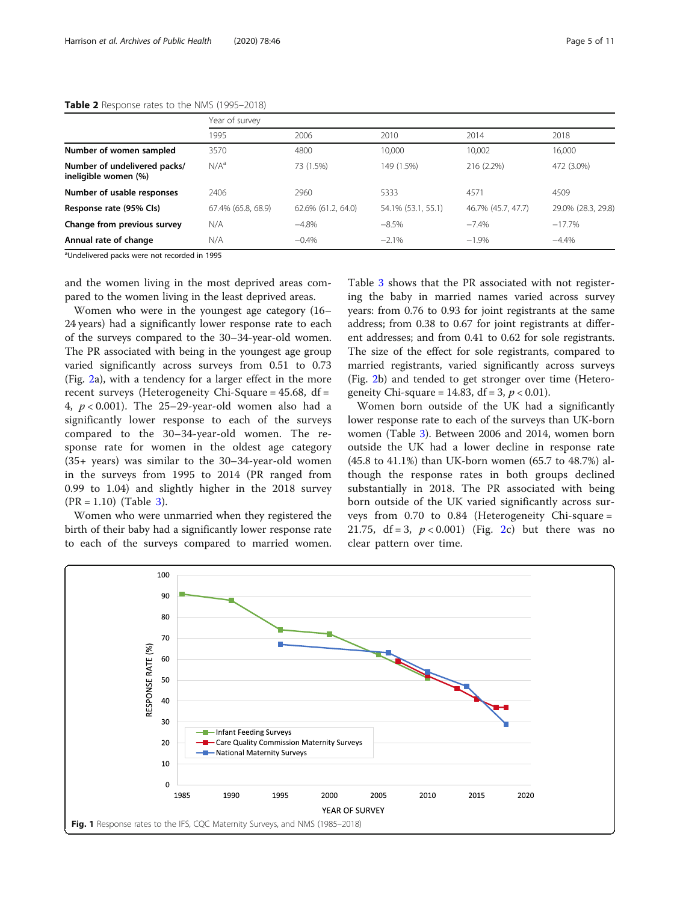#### <span id="page-4-0"></span>Table 2 Response rates to the NMS (1995-2018)

|                                                      | Year of survey     |                    |                    |                    |                    |  |  |  |  |  |
|------------------------------------------------------|--------------------|--------------------|--------------------|--------------------|--------------------|--|--|--|--|--|
|                                                      | 1995               | 2006               | 2010               | 2014               | 2018               |  |  |  |  |  |
| Number of women sampled                              | 3570               | 4800               | 10,000             | 10,002             | 16,000             |  |  |  |  |  |
| Number of undelivered packs/<br>ineligible women (%) | N/A <sup>a</sup>   | 73 (1.5%)          | 149 (1.5%)         | 216 (2.2%)         | 472 (3.0%)         |  |  |  |  |  |
| Number of usable responses                           | 2406               | 2960               | 5333               | 4571               | 4509               |  |  |  |  |  |
| Response rate (95% Cls)                              | 67.4% (65.8, 68.9) | 62.6% (61.2, 64.0) | 54.1% (53.1, 55.1) | 46.7% (45.7, 47.7) | 29.0% (28.3, 29.8) |  |  |  |  |  |
| Change from previous survey                          | N/A                | $-4.8%$            | $-8.5%$            | $-7.4%$            | $-17.7%$           |  |  |  |  |  |
| Annual rate of change                                | N/A                | $-0.4%$            | $-2.1%$            | $-1.9%$            | $-4.4%$            |  |  |  |  |  |

<sup>a</sup>Undelivered packs were not recorded in 1995

and the women living in the most deprived areas compared to the women living in the least deprived areas.

Women who were in the youngest age category (16– 24 years) had a significantly lower response rate to each of the surveys compared to the 30–34-year-old women. The PR associated with being in the youngest age group varied significantly across surveys from 0.51 to 0.73 (Fig. [2a](#page-6-0)), with a tendency for a larger effect in the more recent surveys (Heterogeneity Chi-Square =  $45.68$ , df = 4,  $p < 0.001$ ). The 25-29-year-old women also had a significantly lower response to each of the surveys compared to the 30–34-year-old women. The response rate for women in the oldest age category (35+ years) was similar to the 30–34-year-old women in the surveys from 1995 to 2014 (PR ranged from 0.99 to 1.04) and slightly higher in the 2018 survey  $(PR = 1.10)$  (Table [3](#page-5-0)).

Women who were unmarried when they registered the birth of their baby had a significantly lower response rate to each of the surveys compared to married women.

Table [3](#page-5-0) shows that the PR associated with not registering the baby in married names varied across survey years: from 0.76 to 0.93 for joint registrants at the same address; from 0.38 to 0.67 for joint registrants at different addresses; and from 0.41 to 0.62 for sole registrants. The size of the effect for sole registrants, compared to married registrants, varied significantly across surveys (Fig. [2](#page-6-0)b) and tended to get stronger over time (Heterogeneity Chi-square = 14.83, df = 3,  $p < 0.01$ ).

Women born outside of the UK had a significantly lower response rate to each of the surveys than UK-born women (Table [3\)](#page-5-0). Between 2006 and 2014, women born outside the UK had a lower decline in response rate (45.8 to 41.1%) than UK-born women (65.7 to 48.7%) although the response rates in both groups declined substantially in 2018. The PR associated with being born outside of the UK varied significantly across surveys from 0.70 to 0.84 (Heterogeneity Chi-square = 21.75,  $df = 3$ ,  $p < 0.001$ ) (Fig. [2c](#page-6-0)) but there was no clear pattern over time.

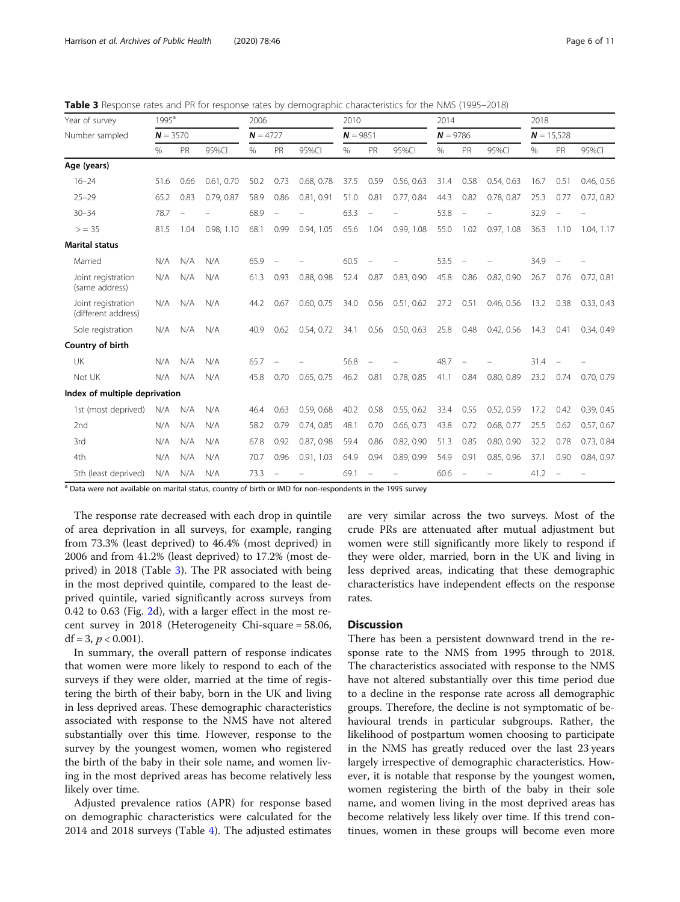| Year of survey                            | $1995^a$ |            | 2006       |            | 2010      |            |      | 2014                     |            |      | 2018 |              |      |      |            |
|-------------------------------------------|----------|------------|------------|------------|-----------|------------|------|--------------------------|------------|------|------|--------------|------|------|------------|
| Number sampled                            |          | $N = 3570$ |            | $N = 4727$ |           | $N = 9851$ |      |                          | $N = 9786$ |      |      | $N = 15.528$ |      |      |            |
|                                           | %        | PR         | 95%CI      | %          | <b>PR</b> | 95%CI      | %    | PR                       | 95%CI      | %    | PR   | 95%CI        | $\%$ | PR   | 95%CI      |
| Age (years)                               |          |            |            |            |           |            |      |                          |            |      |      |              |      |      |            |
| $16 - 24$                                 | 51.6     | 0.66       | 0.61, 0.70 | 50.2       | 0.73      | 0.68, 0.78 | 37.5 | 0.59                     | 0.56, 0.63 | 31.4 | 0.58 | 0.54, 0.63   | 16.7 | 0.51 | 0.46, 0.56 |
| $25 - 29$                                 | 65.2     | 0.83       | 0.79, 0.87 | 58.9       | 0.86      | 0.81, 0.91 | 51.0 | 0.81                     | 0.77, 0.84 | 44.3 | 0.82 | 0.78, 0.87   | 25.3 | 0.77 | 0.72, 0.82 |
| $30 - 34$                                 | 78.7     |            |            | 68.9       |           |            | 63.3 | $\equiv$                 |            | 53.8 |      |              | 32.9 |      |            |
| $>$ = 35                                  | 81.5     | 1.04       | 0.98.1.10  | 68.1       | 0.99      | 0.94, 1.05 | 65.6 | 1.04                     | 0.99, 1.08 | 55.0 | 1.02 | 0.97, 1.08   | 36.3 | 1.10 | 1.04, 1.17 |
| <b>Marital status</b>                     |          |            |            |            |           |            |      |                          |            |      |      |              |      |      |            |
| Married                                   | N/A      | N/A        | N/A        | 65.9       |           |            | 60.5 |                          |            | 53.5 |      |              | 34.9 |      |            |
| Joint registration<br>(same address)      | N/A      | N/A        | N/A        | 61.3       | 0.93      | 0.88, 0.98 | 52.4 | 0.87                     | 0.83, 0.90 | 45.8 | 0.86 | 0.82, 0.90   | 26.7 | 0.76 | 0.72, 0.81 |
| Joint registration<br>(different address) | N/A      | N/A        | N/A        | 44.2       | 0.67      | 0.60, 0.75 | 34.0 | 0.56                     | 0.51, 0.62 | 27.2 | 0.51 | 0.46, 0.56   | 13.2 | 0.38 | 0.33, 0.43 |
| Sole registration                         | N/A      | N/A        | N/A        | 40.9       | 0.62      | 0.54, 0.72 | 34.1 | 0.56                     | 0.50, 0.63 | 25.8 | 0.48 | 0.42, 0.56   | 14.3 | 0.41 | 0.34, 0.49 |
| Country of birth                          |          |            |            |            |           |            |      |                          |            |      |      |              |      |      |            |
| UK                                        | N/A      | N/A        | N/A        | 65.7       |           |            | 56.8 | $\overline{\phantom{0}}$ |            | 48.7 |      |              | 31.4 |      |            |
| Not UK                                    | N/A      | N/A        | N/A        | 45.8       | 0.70      | 0.65.0.75  | 46.2 | 0.81                     | 0.78, 0.85 | 41.1 | 0.84 | 0.80, 0.89   | 23.2 | 0.74 | 0.70, 0.79 |
| Index of multiple deprivation             |          |            |            |            |           |            |      |                          |            |      |      |              |      |      |            |
| 1st (most deprived)                       | N/A      | N/A        | N/A        | 46.4       | 0.63      | 0.59, 0.68 | 40.2 | 0.58                     | 0.55.062   | 33.4 | 0.55 | 0.52, 0.59   | 17.2 | 0.42 | 0.39, 0.45 |
| 2nd                                       | N/A      | N/A        | N/A        | 58.2       | 0.79      | 0.74, 0.85 | 48.1 | 0.70                     | 0.66, 0.73 | 43.8 | 0.72 | 0.68, 0.77   | 25.5 | 0.62 | 0.57, 0.67 |
| 3rd                                       | N/A      | N/A        | N/A        | 67.8       | 0.92      | 0.87, 0.98 | 59.4 | 0.86                     | 0.82, 0.90 | 51.3 | 0.85 | 0.80.0.90    | 32.2 | 0.78 | 0.73, 0.84 |
| 4th                                       | N/A      | N/A        | N/A        | 70.7       | 0.96      | 0.91, 1.03 | 64.9 | 0.94                     | 0.89, 0.99 | 54.9 | 0.91 | 0.85, 0.96   | 37.1 | 0.90 | 0.84, 0.97 |
| 5th (least deprived)                      | N/A      | N/A        | N/A        | 73.3       |           |            | 69.1 |                          |            | 60.6 |      |              | 41.2 |      |            |

<span id="page-5-0"></span>**Table 3** Response rates and PR for response rates by demographic characteristics for the NMS (1995–2018)

<sup>a</sup> Data were not available on marital status, country of birth or IMD for non-respondents in the 1995 survey

The response rate decreased with each drop in quintile of area deprivation in all surveys, for example, ranging from 73.3% (least deprived) to 46.4% (most deprived) in 2006 and from 41.2% (least deprived) to 17.2% (most deprived) in 2018 (Table 3). The PR associated with being in the most deprived quintile, compared to the least deprived quintile, varied significantly across surveys from 0.42 to 0.63 (Fig. [2](#page-6-0)d), with a larger effect in the most recent survey in 2018 (Heterogeneity Chi-square = 58.06, df = 3,  $p < 0.001$ ).

In summary, the overall pattern of response indicates that women were more likely to respond to each of the surveys if they were older, married at the time of registering the birth of their baby, born in the UK and living in less deprived areas. These demographic characteristics associated with response to the NMS have not altered substantially over this time. However, response to the survey by the youngest women, women who registered the birth of the baby in their sole name, and women living in the most deprived areas has become relatively less likely over time.

Adjusted prevalence ratios (APR) for response based on demographic characteristics were calculated for the 2014 and 2018 surveys (Table [4\)](#page-7-0). The adjusted estimates

are very similar across the two surveys. Most of the crude PRs are attenuated after mutual adjustment but women were still significantly more likely to respond if they were older, married, born in the UK and living in less deprived areas, indicating that these demographic characteristics have independent effects on the response rates.

## **Discussion**

There has been a persistent downward trend in the response rate to the NMS from 1995 through to 2018. The characteristics associated with response to the NMS have not altered substantially over this time period due to a decline in the response rate across all demographic groups. Therefore, the decline is not symptomatic of behavioural trends in particular subgroups. Rather, the likelihood of postpartum women choosing to participate in the NMS has greatly reduced over the last 23 years largely irrespective of demographic characteristics. However, it is notable that response by the youngest women, women registering the birth of the baby in their sole name, and women living in the most deprived areas has become relatively less likely over time. If this trend continues, women in these groups will become even more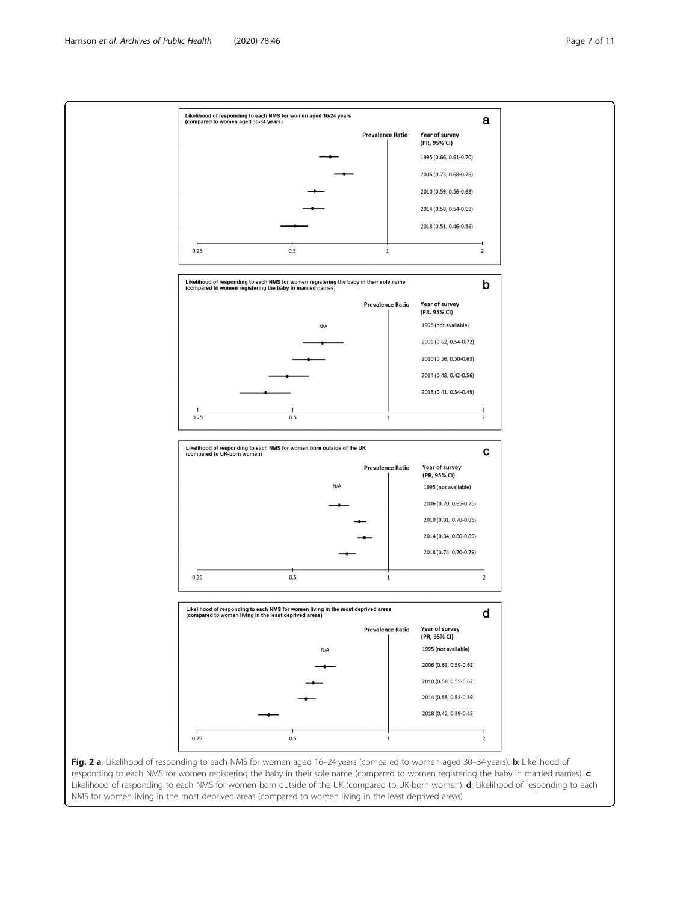<span id="page-6-0"></span>

responding to each NMS for women registering the baby in their sole name (compared to women registering the baby in married names).  $c$ : Likelihood of responding to each NMS for women born outside of the UK (compared to UK-born women). d: Likelihood of responding to each NMS for women living in the most deprived areas (compared to women living in the least deprived areas)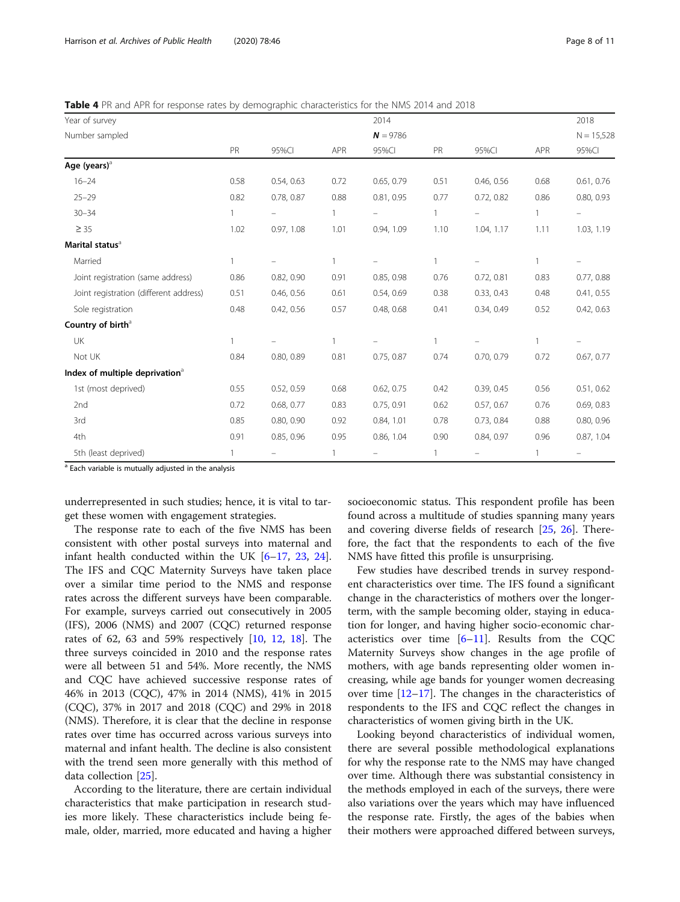<span id="page-7-0"></span>Table 4 PR and APR for response rates by demographic characteristics for the NMS 2014 and 2018

| Year of survey                             |              |            |              | 2014       |      |            |              | 2018         |
|--------------------------------------------|--------------|------------|--------------|------------|------|------------|--------------|--------------|
| Number sampled                             |              |            |              | $N = 9786$ |      |            |              | $N = 15,528$ |
|                                            | PR           | 95%CI      | <b>APR</b>   | 95%CI      | PR   | 95%CI      | <b>APR</b>   | 95%CI        |
| Age (years) <sup>a</sup>                   |              |            |              |            |      |            |              |              |
| $16 - 24$                                  | 0.58         | 0.54, 0.63 | 0.72         | 0.65, 0.79 | 0.51 | 0.46, 0.56 | 0.68         | 0.61, 0.76   |
| $25 - 29$                                  | 0.82         | 0.78, 0.87 | 0.88         | 0.81, 0.95 | 0.77 | 0.72, 0.82 | 0.86         | 0.80, 0.93   |
| $30 - 34$                                  | $\mathbf{1}$ |            | $\mathbf{1}$ |            | 1    |            | $\mathbf{1}$ |              |
| $\geq$ 35                                  | 1.02         | 0.97, 1.08 | 1.01         | 0.94, 1.09 | 1.10 | 1.04, 1.17 | 1.11         | 1.03, 1.19   |
| Marital status <sup>a</sup>                |              |            |              |            |      |            |              |              |
| Married                                    | $\mathbf{1}$ |            | $\mathbf{1}$ |            | 1    |            | $\mathbf{1}$ |              |
| Joint registration (same address)          | 0.86         | 0.82, 0.90 | 0.91         | 0.85, 0.98 | 0.76 | 0.72, 0.81 | 0.83         | 0.77, 0.88   |
| Joint registration (different address)     | 0.51         | 0.46, 0.56 | 0.61         | 0.54, 0.69 | 0.38 | 0.33, 0.43 | 0.48         | 0.41, 0.55   |
| Sole registration                          | 0.48         | 0.42, 0.56 | 0.57         | 0.48, 0.68 | 0.41 | 0.34, 0.49 | 0.52         | 0.42, 0.63   |
| Country of birth <sup>a</sup>              |              |            |              |            |      |            |              |              |
| UK                                         | $\mathbf{1}$ |            | $\mathbf{1}$ |            | 1    |            | 1            |              |
| Not UK                                     | 0.84         | 0.80, 0.89 | 0.81         | 0.75, 0.87 | 0.74 | 0.70, 0.79 | 0.72         | 0.67, 0.77   |
| Index of multiple deprivation <sup>a</sup> |              |            |              |            |      |            |              |              |
| 1st (most deprived)                        | 0.55         | 0.52, 0.59 | 0.68         | 0.62, 0.75 | 0.42 | 0.39, 0.45 | 0.56         | 0.51, 0.62   |
| 2nd                                        | 0.72         | 0.68, 0.77 | 0.83         | 0.75, 0.91 | 0.62 | 0.57, 0.67 | 0.76         | 0.69, 0.83   |
| 3rd                                        | 0.85         | 0.80, 0.90 | 0.92         | 0.84, 1.01 | 0.78 | 0.73, 0.84 | 0.88         | 0.80, 0.96   |
| 4th                                        | 0.91         | 0.85, 0.96 | 0.95         | 0.86, 1.04 | 0.90 | 0.84, 0.97 | 0.96         | 0.87, 1.04   |
| 5th (least deprived)                       |              |            |              |            | 1    |            | 1            |              |

<sup>a</sup> Each variable is mutually adjusted in the analysis

underrepresented in such studies; hence, it is vital to target these women with engagement strategies.

The response rate to each of the five NMS has been consistent with other postal surveys into maternal and infant health conducted within the UK [\[6](#page-9-0)–[17](#page-10-0), [23,](#page-10-0) [24](#page-10-0)]. The IFS and CQC Maternity Surveys have taken place over a similar time period to the NMS and response rates across the different surveys have been comparable. For example, surveys carried out consecutively in 2005 (IFS), 2006 (NMS) and 2007 (CQC) returned response rates of 62, 63 and 59% respectively [\[10,](#page-9-0) [12,](#page-9-0) [18](#page-10-0)]. The three surveys coincided in 2010 and the response rates were all between 51 and 54%. More recently, the NMS and CQC have achieved successive response rates of 46% in 2013 (CQC), 47% in 2014 (NMS), 41% in 2015 (CQC), 37% in 2017 and 2018 (CQC) and 29% in 2018 (NMS). Therefore, it is clear that the decline in response rates over time has occurred across various surveys into maternal and infant health. The decline is also consistent with the trend seen more generally with this method of data collection [[25](#page-10-0)].

According to the literature, there are certain individual characteristics that make participation in research studies more likely. These characteristics include being female, older, married, more educated and having a higher socioeconomic status. This respondent profile has been found across a multitude of studies spanning many years and covering diverse fields of research [\[25,](#page-10-0) [26](#page-10-0)]. Therefore, the fact that the respondents to each of the five NMS have fitted this profile is unsurprising.

Few studies have described trends in survey respondent characteristics over time. The IFS found a significant change in the characteristics of mothers over the longerterm, with the sample becoming older, staying in education for longer, and having higher socio-economic characteristics over time  $[6–11]$  $[6–11]$  $[6–11]$  $[6–11]$  $[6–11]$ . Results from the CQC Maternity Surveys show changes in the age profile of mothers, with age bands representing older women increasing, while age bands for younger women decreasing over time  $[12-17]$  $[12-17]$  $[12-17]$  $[12-17]$  $[12-17]$ . The changes in the characteristics of respondents to the IFS and CQC reflect the changes in characteristics of women giving birth in the UK.

Looking beyond characteristics of individual women, there are several possible methodological explanations for why the response rate to the NMS may have changed over time. Although there was substantial consistency in the methods employed in each of the surveys, there were also variations over the years which may have influenced the response rate. Firstly, the ages of the babies when their mothers were approached differed between surveys,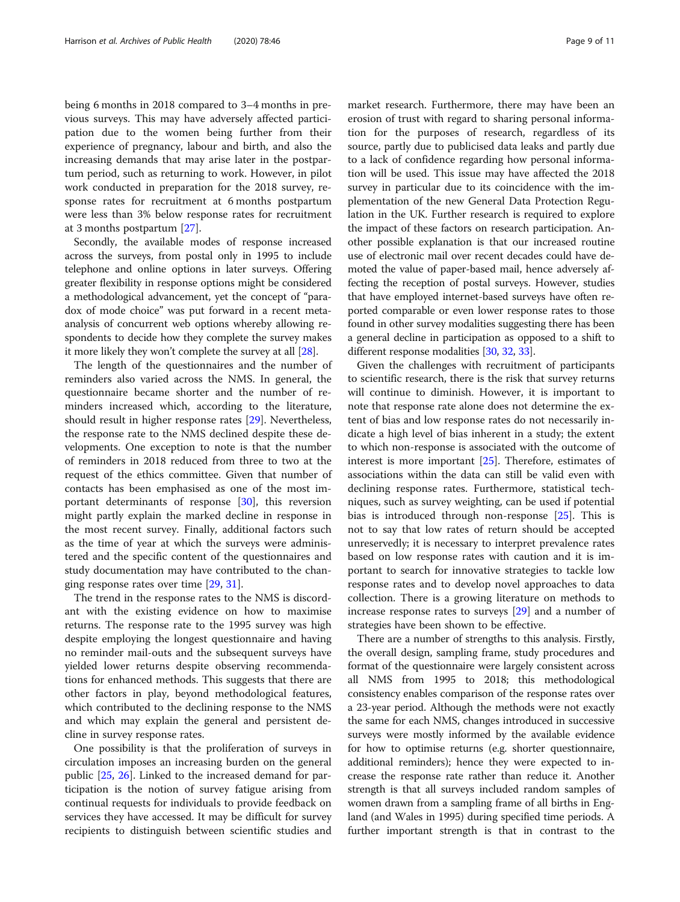being 6 months in 2018 compared to 3–4 months in previous surveys. This may have adversely affected participation due to the women being further from their experience of pregnancy, labour and birth, and also the increasing demands that may arise later in the postpartum period, such as returning to work. However, in pilot work conducted in preparation for the 2018 survey, response rates for recruitment at 6 months postpartum were less than 3% below response rates for recruitment at 3 months postpartum [\[27](#page-10-0)].

Secondly, the available modes of response increased across the surveys, from postal only in 1995 to include telephone and online options in later surveys. Offering greater flexibility in response options might be considered a methodological advancement, yet the concept of "paradox of mode choice" was put forward in a recent metaanalysis of concurrent web options whereby allowing respondents to decide how they complete the survey makes it more likely they won't complete the survey at all [\[28\]](#page-10-0).

The length of the questionnaires and the number of reminders also varied across the NMS. In general, the questionnaire became shorter and the number of reminders increased which, according to the literature, should result in higher response rates [\[29](#page-10-0)]. Nevertheless, the response rate to the NMS declined despite these developments. One exception to note is that the number of reminders in 2018 reduced from three to two at the request of the ethics committee. Given that number of contacts has been emphasised as one of the most important determinants of response [\[30](#page-10-0)], this reversion might partly explain the marked decline in response in the most recent survey. Finally, additional factors such as the time of year at which the surveys were administered and the specific content of the questionnaires and study documentation may have contributed to the changing response rates over time [\[29,](#page-10-0) [31\]](#page-10-0).

The trend in the response rates to the NMS is discordant with the existing evidence on how to maximise returns. The response rate to the 1995 survey was high despite employing the longest questionnaire and having no reminder mail-outs and the subsequent surveys have yielded lower returns despite observing recommendations for enhanced methods. This suggests that there are other factors in play, beyond methodological features, which contributed to the declining response to the NMS and which may explain the general and persistent decline in survey response rates.

One possibility is that the proliferation of surveys in circulation imposes an increasing burden on the general public [\[25](#page-10-0), [26](#page-10-0)]. Linked to the increased demand for participation is the notion of survey fatigue arising from continual requests for individuals to provide feedback on services they have accessed. It may be difficult for survey recipients to distinguish between scientific studies and

market research. Furthermore, there may have been an erosion of trust with regard to sharing personal information for the purposes of research, regardless of its source, partly due to publicised data leaks and partly due to a lack of confidence regarding how personal information will be used. This issue may have affected the 2018 survey in particular due to its coincidence with the implementation of the new General Data Protection Regulation in the UK. Further research is required to explore the impact of these factors on research participation. Another possible explanation is that our increased routine use of electronic mail over recent decades could have demoted the value of paper-based mail, hence adversely affecting the reception of postal surveys. However, studies that have employed internet-based surveys have often reported comparable or even lower response rates to those found in other survey modalities suggesting there has been a general decline in participation as opposed to a shift to different response modalities [[30](#page-10-0), [32,](#page-10-0) [33\]](#page-10-0).

Given the challenges with recruitment of participants to scientific research, there is the risk that survey returns will continue to diminish. However, it is important to note that response rate alone does not determine the extent of bias and low response rates do not necessarily indicate a high level of bias inherent in a study; the extent to which non-response is associated with the outcome of interest is more important [\[25\]](#page-10-0). Therefore, estimates of associations within the data can still be valid even with declining response rates. Furthermore, statistical techniques, such as survey weighting, can be used if potential bias is introduced through non-response [[25](#page-10-0)]. This is not to say that low rates of return should be accepted unreservedly; it is necessary to interpret prevalence rates based on low response rates with caution and it is important to search for innovative strategies to tackle low response rates and to develop novel approaches to data collection. There is a growing literature on methods to increase response rates to surveys [[29\]](#page-10-0) and a number of strategies have been shown to be effective.

There are a number of strengths to this analysis. Firstly, the overall design, sampling frame, study procedures and format of the questionnaire were largely consistent across all NMS from 1995 to 2018; this methodological consistency enables comparison of the response rates over a 23-year period. Although the methods were not exactly the same for each NMS, changes introduced in successive surveys were mostly informed by the available evidence for how to optimise returns (e.g. shorter questionnaire, additional reminders); hence they were expected to increase the response rate rather than reduce it. Another strength is that all surveys included random samples of women drawn from a sampling frame of all births in England (and Wales in 1995) during specified time periods. A further important strength is that in contrast to the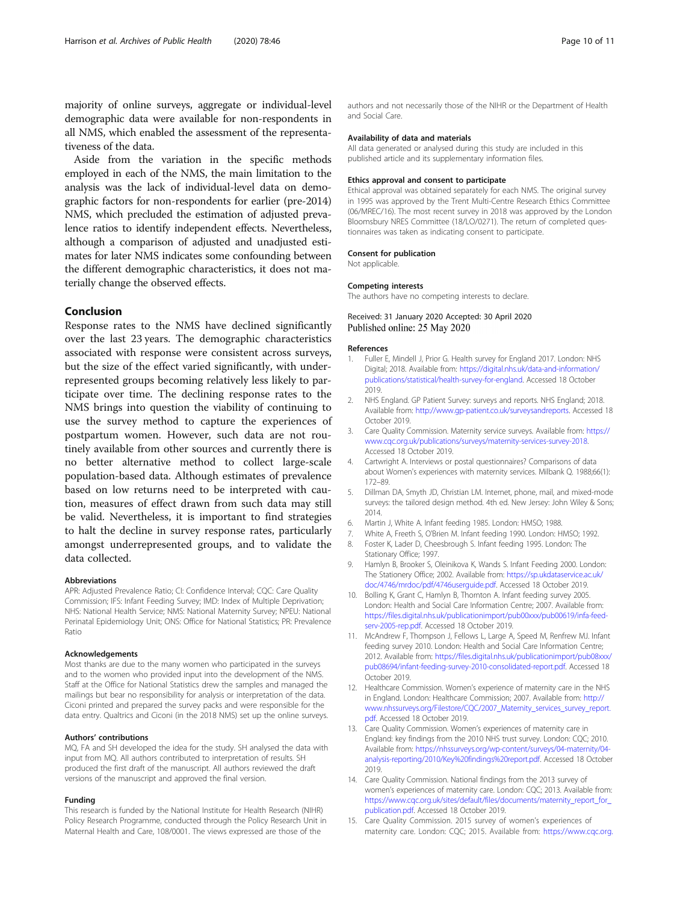<span id="page-9-0"></span>majority of online surveys, aggregate or individual-level demographic data were available for non-respondents in all NMS, which enabled the assessment of the representativeness of the data.

Aside from the variation in the specific methods employed in each of the NMS, the main limitation to the analysis was the lack of individual-level data on demographic factors for non-respondents for earlier (pre-2014) NMS, which precluded the estimation of adjusted prevalence ratios to identify independent effects. Nevertheless, although a comparison of adjusted and unadjusted estimates for later NMS indicates some confounding between the different demographic characteristics, it does not materially change the observed effects.

#### Conclusion

Response rates to the NMS have declined significantly over the last 23 years. The demographic characteristics associated with response were consistent across surveys, but the size of the effect varied significantly, with underrepresented groups becoming relatively less likely to participate over time. The declining response rates to the NMS brings into question the viability of continuing to use the survey method to capture the experiences of postpartum women. However, such data are not routinely available from other sources and currently there is no better alternative method to collect large-scale population-based data. Although estimates of prevalence based on low returns need to be interpreted with caution, measures of effect drawn from such data may still be valid. Nevertheless, it is important to find strategies to halt the decline in survey response rates, particularly amongst underrepresented groups, and to validate the data collected.

#### Abbreviations

APR: Adjusted Prevalence Ratio; CI: Confidence Interval; CQC: Care Quality Commission; IFS: Infant Feeding Survey; IMD: Index of Multiple Deprivation; NHS: National Health Service; NMS: National Maternity Survey; NPEU: National Perinatal Epidemiology Unit; ONS: Office for National Statistics; PR: Prevalence Ratio

#### Acknowledgements

Most thanks are due to the many women who participated in the surveys and to the women who provided input into the development of the NMS. Staff at the Office for National Statistics drew the samples and managed the mailings but bear no responsibility for analysis or interpretation of the data. Ciconi printed and prepared the survey packs and were responsible for the data entry. Qualtrics and Ciconi (in the 2018 NMS) set up the online surveys.

#### Authors' contributions

MQ, FA and SH developed the idea for the study. SH analysed the data with input from MQ. All authors contributed to interpretation of results. SH produced the first draft of the manuscript. All authors reviewed the draft versions of the manuscript and approved the final version.

#### Funding

This research is funded by the National Institute for Health Research (NIHR) Policy Research Programme, conducted through the Policy Research Unit in Maternal Health and Care, 108/0001. The views expressed are those of the

#### Availability of data and materials

All data generated or analysed during this study are included in this published article and its supplementary information files.

#### Ethics approval and consent to participate

Ethical approval was obtained separately for each NMS. The original survey in 1995 was approved by the Trent Multi-Centre Research Ethics Committee (06/MREC/16). The most recent survey in 2018 was approved by the London Bloomsbury NRES Committee (18/LO/0271). The return of completed questionnaires was taken as indicating consent to participate.

#### Consent for publication

Not applicable.

#### Competing interests

The authors have no competing interests to declare.

#### Received: 31 January 2020 Accepted: 30 April 2020 Published online: 25 May 2020

#### References

- Fuller E, Mindell J, Prior G. Health survey for England 2017. London: NHS Digital; 2018. Available from: [https://digital.nhs.uk/data-and-information/](https://digital.nhs.uk/data-and-information/publications/statistical/health-survey-for-england) [publications/statistical/health-survey-for-england.](https://digital.nhs.uk/data-and-information/publications/statistical/health-survey-for-england) Accessed 18 October 2019.
- 2. NHS England. GP Patient Survey: surveys and reports. NHS England; 2018. Available from: <http://www.gp-patient.co.uk/surveysandreports>. Accessed 18 October 2019.
- 3. Care Quality Commission. Maternity service surveys. Available from: [https://](https://www.cqc.org.uk/publications/surveys/maternity-services-survey-2018) [www.cqc.org.uk/publications/surveys/maternity-services-survey-2018.](https://www.cqc.org.uk/publications/surveys/maternity-services-survey-2018) Accessed 18 October 2019.
- 4. Cartwright A. Interviews or postal questionnaires? Comparisons of data about Women's experiences with maternity services. Milbank Q. 1988;66(1): 172–89.
- 5. Dillman DA, Smyth JD, Christian LM. Internet, phone, mail, and mixed-mode surveys: the tailored design method. 4th ed. New Jersey: John Wiley & Sons; 2014.
- 6. Martin J, White A. Infant feeding 1985. London: HMSO; 1988.
- 7. White A, Freeth S, O'Brien M. Infant feeding 1990. London: HMSO; 1992.
- 8. Foster K, Lader D, Cheesbrough S. Infant feeding 1995. London: The Stationary Office; 1997.
- 9. Hamlyn B, Brooker S, Oleinikova K, Wands S. Infant Feeding 2000. London: The Stationery Office; 2002. Available from: [https://sp.ukdataservice.ac.uk/](https://sp.ukdataservice.ac.uk/doc/4746/mrdoc/pdf/4746userguide.pdf) [doc/4746/mrdoc/pdf/4746userguide.pdf.](https://sp.ukdataservice.ac.uk/doc/4746/mrdoc/pdf/4746userguide.pdf) Accessed 18 October 2019.
- 10. Bolling K, Grant C, Hamlyn B, Thornton A. Infant feeding survey 2005. London: Health and Social Care Information Centre; 2007. Available from: [https://files.digital.nhs.uk/publicationimport/pub00xxx/pub00619/infa-feed](https://files.digital.nhs.uk/publicationimport/pub00xxx/pub00619/infa-feed-serv-2005-rep.pdf)[serv-2005-rep.pdf.](https://files.digital.nhs.uk/publicationimport/pub00xxx/pub00619/infa-feed-serv-2005-rep.pdf) Accessed 18 October 2019.
- 11. McAndrew F, Thompson J, Fellows L, Large A, Speed M, Renfrew MJ. Infant feeding survey 2010. London: Health and Social Care Information Centre; 2012. Available from: [https://files.digital.nhs.uk/publicationimport/pub08xxx/](https://files.digital.nhs.uk/publicationimport/pub08xxx/pub08694/infant-feeding-survey-2010-consolidated-report.pdf) [pub08694/infant-feeding-survey-2010-consolidated-report.pdf](https://files.digital.nhs.uk/publicationimport/pub08xxx/pub08694/infant-feeding-survey-2010-consolidated-report.pdf). Accessed 18 October 2019.
- 12. Healthcare Commission. Women's experience of maternity care in the NHS in England. London: Healthcare Commission; 2007. Available from: [http://](http://www.nhssurveys.org/Filestore/CQC/2007_Maternity_services_survey_report.pdf) [www.nhssurveys.org/Filestore/CQC/2007\\_Maternity\\_services\\_survey\\_report.](http://www.nhssurveys.org/Filestore/CQC/2007_Maternity_services_survey_report.pdf) [pdf](http://www.nhssurveys.org/Filestore/CQC/2007_Maternity_services_survey_report.pdf). Accessed 18 October 2019.
- 13. Care Quality Commission. Women's experiences of maternity care in England: key findings from the 2010 NHS trust survey. London: CQC; 2010. Available from: [https://nhssurveys.org/wp-content/surveys/04-maternity/04](https://nhssurveys.org/wp-content/surveys/04-maternity/04-analysis-reporting/2010/Key%20findings%20report.pdf) [analysis-reporting/2010/Key%20findings%20report.pdf](https://nhssurveys.org/wp-content/surveys/04-maternity/04-analysis-reporting/2010/Key%20findings%20report.pdf). Accessed 18 October 2019.
- 14. Care Quality Commission. National findings from the 2013 survey of women's experiences of maternity care. London: CQC; 2013. Available from: [https://www.cqc.org.uk/sites/default/files/documents/maternity\\_report\\_for\\_](https://www.cqc.org.uk/sites/default/files/documents/maternity_report_for_publication.pdf) [publication.pdf](https://www.cqc.org.uk/sites/default/files/documents/maternity_report_for_publication.pdf). Accessed 18 October 2019.
- 15. Care Quality Commission. 2015 survey of women's experiences of maternity care. London: CQC; 2015. Available from: [https://www.cqc.org.](https://www.cqc.org.uk/sites/default/files/20151215_mat15_statistical_release.pdf)